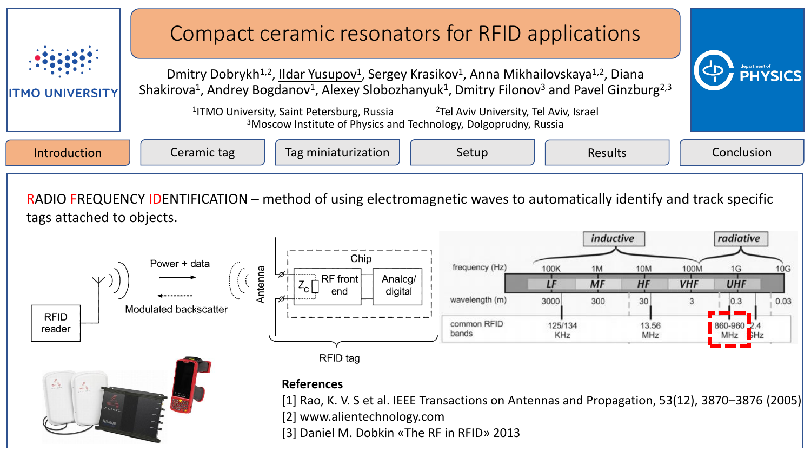



**RFID** 

reader

## **References**

RFID tag

[1] Rao, K. V. S et al. IEEE Transactions on Antennas and Propagation, 53(12), 3870–3876 (2005)

125/134

KHz

13.56

MHz

[2] www.alientechnology.com

[3] Daniel M. Dobkin «The RF in RFID» 2013

----------' com

bands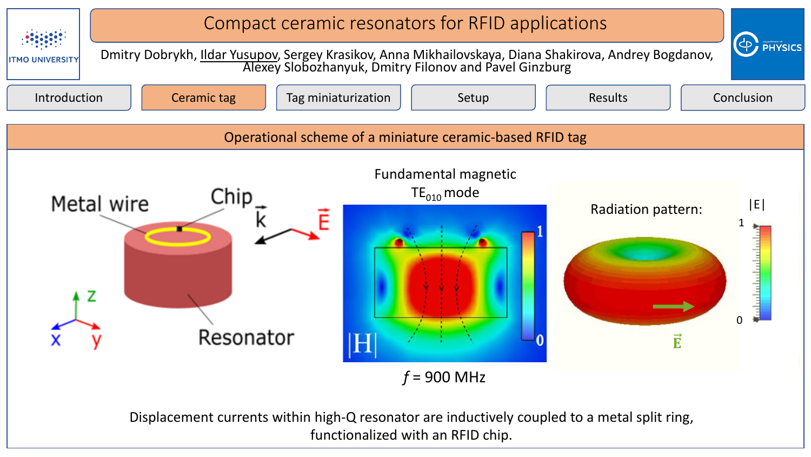

Displacement currents within high-Q resonator are inductively coupled to a metal split ring, functionalized with an RFID chip.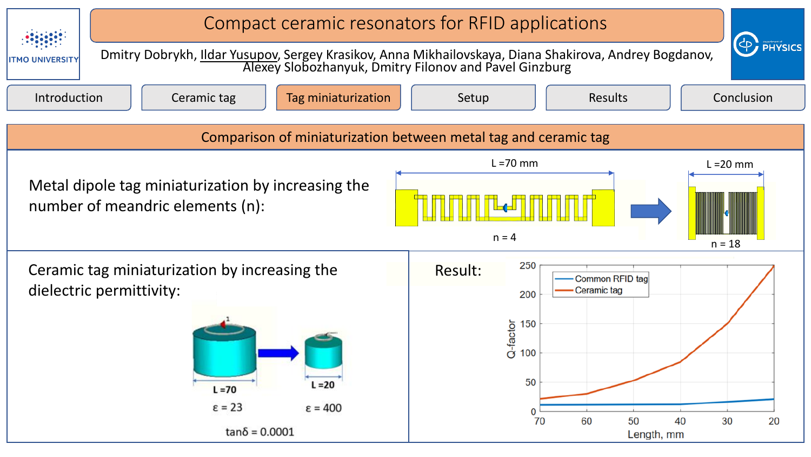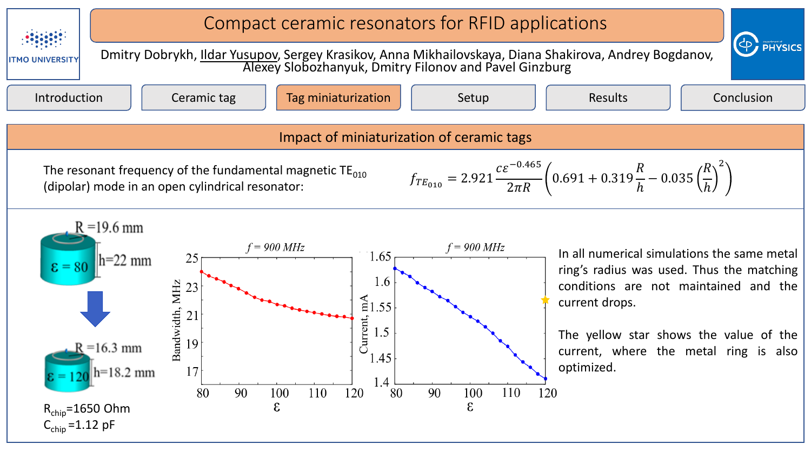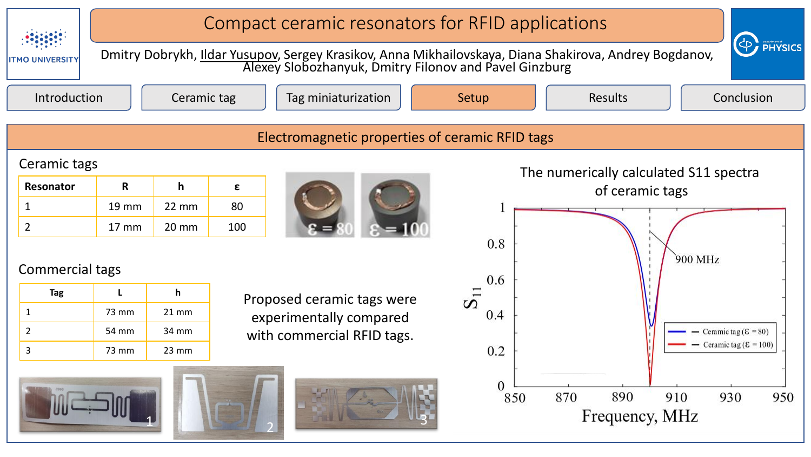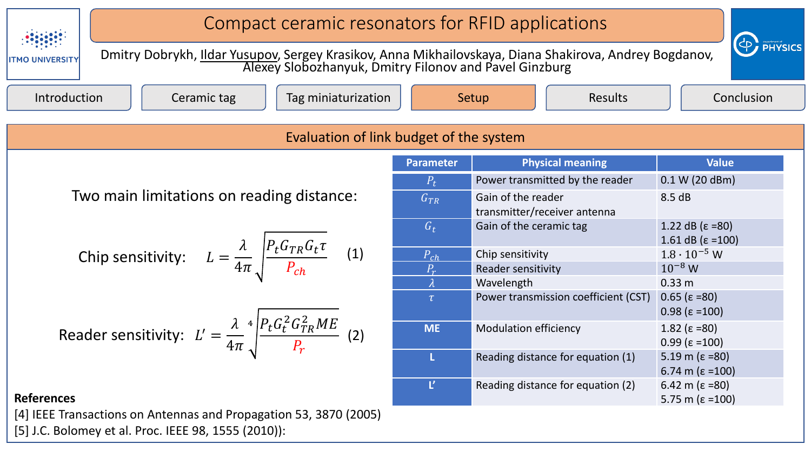

[5] J.C. Bolomey et al. Proc. IEEE 98, 1555 (2010)):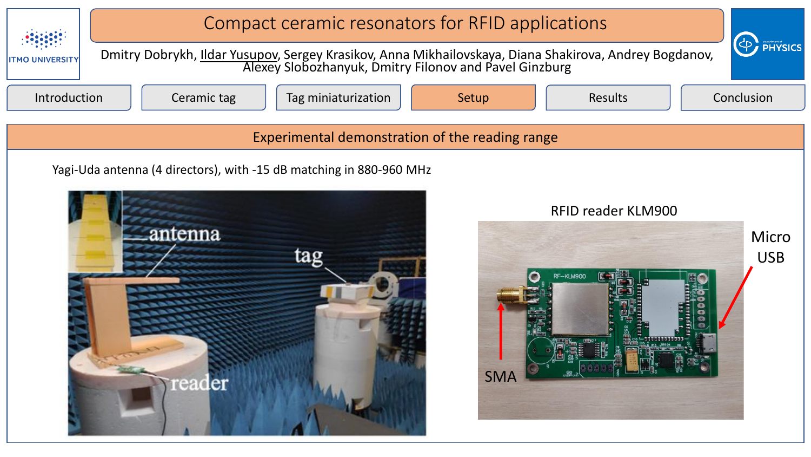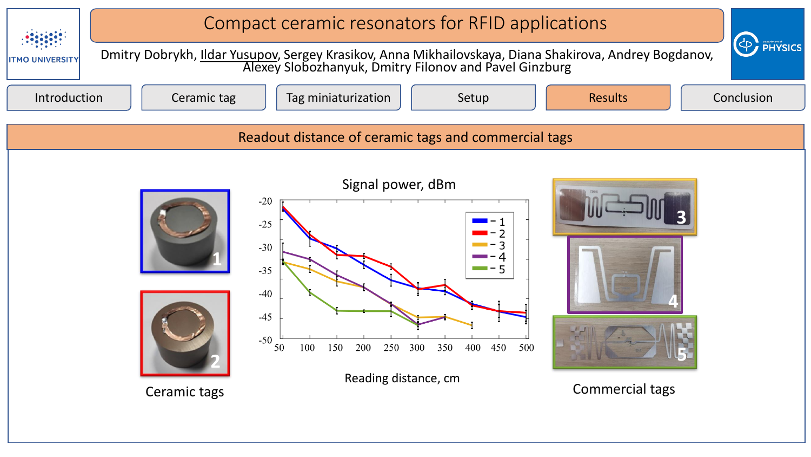